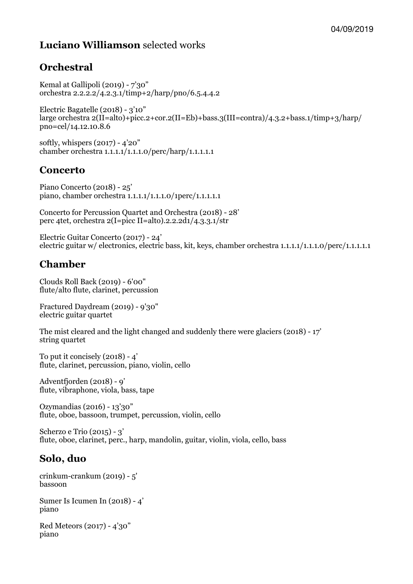# **Luciano Williamson** selected works

# **Orchestral**

Kemal at Gallipoli (2019) - 7'30" orchestra 2.2.2.2/4.2.3.1/timp+2/harp/pno/6.5.4.4.2

Electric Bagatelle (2018) - 3'10" large orchestra  $2(II=alto)+picc.2+cor.2(II=Eb)+bass.3(III=contra)/4.3.2+bass.1/timp+3/harp/$ pno=cel/14.12.10.8.6

softly, whispers (2017) - 4'20" chamber orchestra 1.1.1.1/1.1.1.0/perc/harp/1.1.1.1.1

#### **Concerto**

Piano Concerto (2018) - 25' piano, chamber orchestra 1.1.1.1/1.1.1.0/1perc/1.1.1.1.1

Concerto for Percussion Quartet and Orchestra (2018) - 28' perc 4tet, orchestra 2(I=picc II=alto).2.2.2d1/4.3.3.1/str

Electric Guitar Concerto (2017) - 24' electric guitar w/ electronics, electric bass, kit, keys, chamber orchestra 1.1.1.1/1.1.1.0/perc/1.1.1.1.1

# **Chamber**

Clouds Roll Back (2019) - 6'00" flute/alto flute, clarinet, percussion

Fractured Daydream (2019) - 9'30" electric guitar quartet

The mist cleared and the light changed and suddenly there were glaciers (2018) - 17' string quartet

To put it concisely  $(2018) - 4'$ flute, clarinet, percussion, piano, violin, cello

Adventfjorden (2018) - 9' flute, vibraphone, viola, bass, tape

Ozymandias (2016) - 13'30" flute, oboe, bassoon, trumpet, percussion, violin, cello

Scherzo e Trio (2015) - 3' flute, oboe, clarinet, perc., harp, mandolin, guitar, violin, viola, cello, bass

#### **Solo, duo**

crinkum-crankum (2019) - 5' bassoon

Sumer Is Icumen In (2018) - 4' piano

Red Meteors (2017) - 4'30" piano